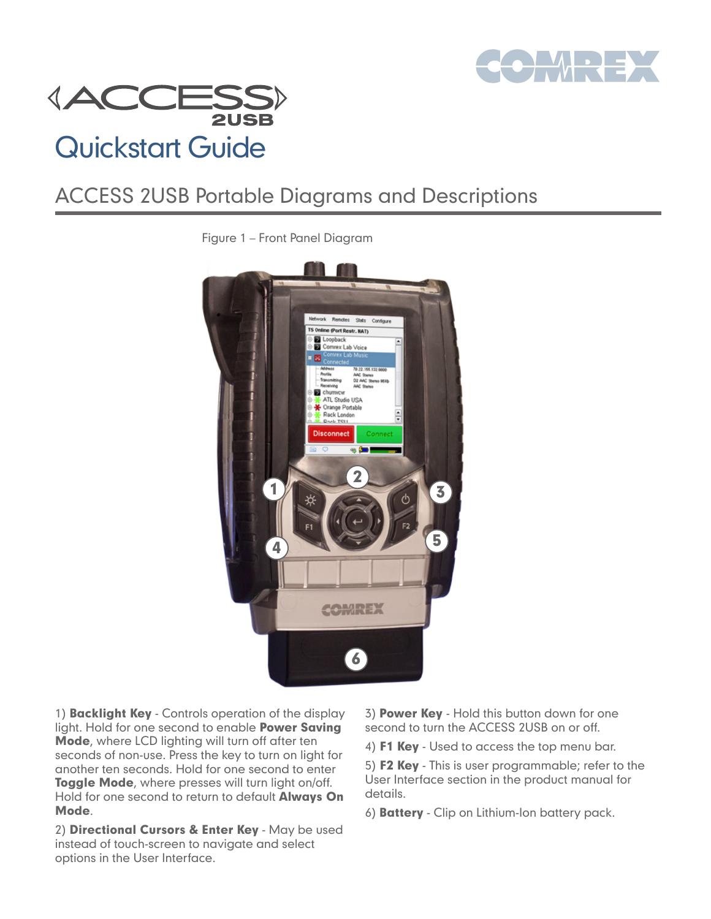



## ACCESS 2USB Portable Diagrams and Descriptions



Figure 1 – Front Panel Diagram

1) **Backlight Key** - Controls operation of the display light. Hold for one second to enable **Power Saving** Mode, where LCD lighting will turn off after ten seconds of non-use. Press the key to turn on light for another ten seconds. Hold for one second to enter Toggle Mode, where presses will turn light on/off. Hold for one second to return to default Always On Mode.

2) Directional Cursors & Enter Key - May be used instead of touch-screen to navigate and select options in the User Interface.

3) Power Key - Hold this button down for one second to turn the ACCESS 2USB on or off.

4) F1 Key - Used to access the top menu bar.

5) F2 Key - This is user programmable; refer to the User Interface section in the product manual for details.

6) Battery - Clip on Lithium-Ion battery pack.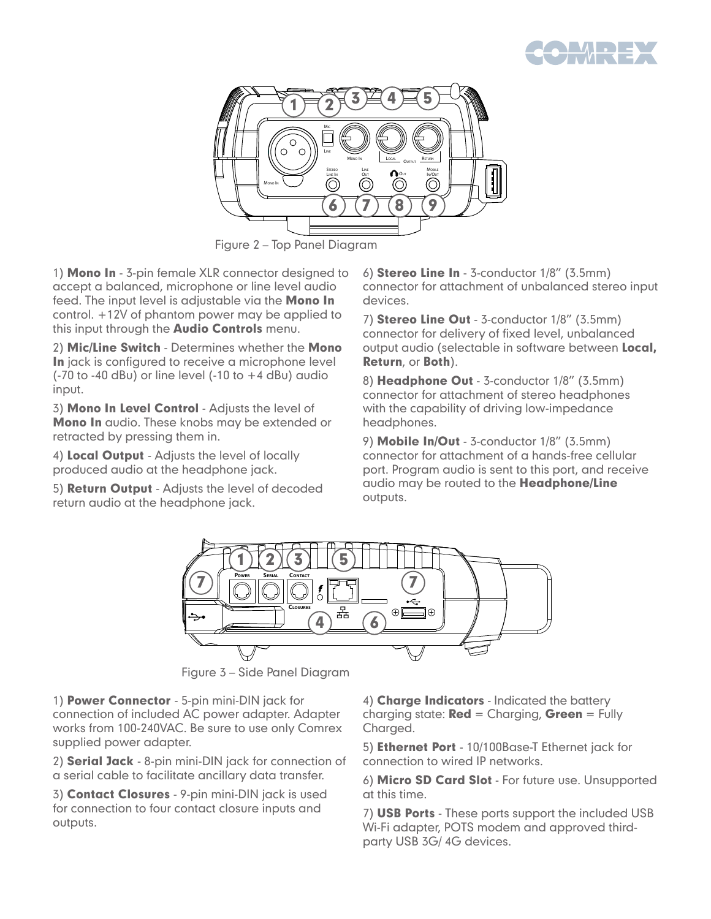



Figure 2 – Top Panel Diagram

1) Mono In - 3-pin female XLR connector designed to accept a balanced, microphone or line level audio feed. The input level is adjustable via the **Mono In** control. +12V of phantom power may be applied to this input through the **Audio Controls** menu.

2) Mic/Line Switch - Determines whether the Mono In jack is configured to receive a microphone level  $(-70$  to  $-40$  dBu) or line level  $(-10$  to  $+4$  dBu) audio input.

3) Mono In Level Control - Adjusts the level of Mono In audio. These knobs may be extended or retracted by pressing them in.

4) Local Output - Adjusts the level of locally produced audio at the headphone jack.

5) Return Output - Adjusts the level of decoded return audio at the headphone jack.

6) Stereo Line In - 3-conductor 1/8" (3.5mm) connector for attachment of unbalanced stereo input devices.

7) Stereo Line Out - 3-conductor 1/8" (3.5mm) connector for delivery of fixed level, unbalanced output audio (selectable in software between **Local**, Return, or Both).

8) Headphone Out - 3-conductor 1/8" (3.5mm) connector for attachment of stereo headphones with the capability of driving low-impedance headphones.

9) Mobile In/Out - 3-conductor 1/8" (3.5mm) connector for attachment of a hands-free cellular port. Program audio is sent to this port, and receive audio may be routed to the Headphone/Line outputs.



Figure 3 – Side Panel Diagram

1) Power Connector - 5-pin mini-DIN jack for connection of included AC power adapter. Adapter works from 100-240VAC. Be sure to use only Comrex supplied power adapter.

2) **Serial Jack** - 8-pin mini-DIN jack for connection of a serial cable to facilitate ancillary data transfer.

3) Contact Closures - 9-pin mini-DIN jack is used for connection to four contact closure inputs and outputs.

4) Charge Indicators - Indicated the battery charging state:  $\text{Red} = \text{Charging}, \text{Green} = \text{Fully}$ Charged.

5) Ethernet Port - 10/100Base-T Ethernet jack for connection to wired IP networks.

6) Micro SD Card Slot - For future use. Unsupported at this time.

7) USB Ports - These ports support the included USB Wi-Fi adapter, POTS modem and approved thirdparty USB 3G/ 4G devices.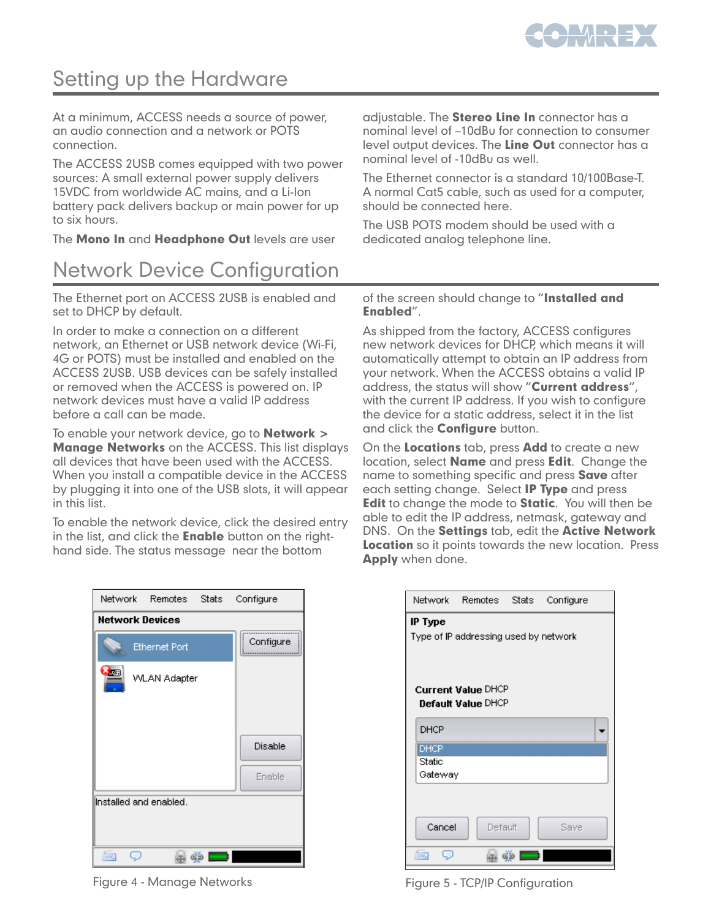

## Setting up the Hardware

At a minimum, ACCESS needs a source of power, an audio connection and a network or POTS connection.

The ACCESS 2USB comes equipped with two power sources: A small external power supply delivers 15VDC from worldwide AC mains, and a Li-Ion battery pack delivers backup or main power for up to six hours.

The **Mono In** and Headphone Out levels are user

## Network Device Configuration

The Ethernet port on ACCESS 2USB is enabled and set to DHCP by default.

In order to make a connection on a different network, an Ethernet or USB network device (Wi-Fi, 4G or POTS) must be installed and enabled on the ACCESS 2USB. USB devices can be safely installed or removed when the ACCESS is powered on. IP network devices must have a valid IP address before a call can be made.

To enable your network device, go to **Network >** Manage Networks on the ACCESS. This list displays all devices that have been used with the ACCESS. When you install a compatible device in the ACCESS by plugging it into one of the USB slots, it will appear in this list.

To enable the network device, click the desired entry in the list, and click the **Enable** button on the righthand side. The status message near the bottom

adjustable. The **Stereo Line In** connector has a nominal level of –10dBu for connection to consumer level output devices. The Line Out connector has a nominal level of -10dBu as well.

The Ethernet connector is a standard 10/100Base-T. A normal Cat5 cable, such as used for a computer, should be connected here.

The USB POTS modem should be used with a dedicated analog telephone line.

of the screen should change to "Installed and Enabled".

As shipped from the factory, ACCESS configures new network devices for DHCP, which means it will automatically attempt to obtain an IP address from your network. When the ACCESS obtains a valid IP address, the status will show "Current address", with the current IP address. If you wish to configure the device for a static address, select it in the list and click the **Configure** button.

On the Locations tab, press Add to create a new location, select **Name** and press **Edit**. Change the name to something specific and press **Save** after each setting change. Select **IP Type** and press **Edit** to change the mode to **Static**. You will then be able to edit the IP address, netmask, gateway and DNS. On the Settings tab, edit the Active Network **Location** so it points towards the new location. Press Apply when done.

|                        | Network Remotes Stats Configure |  |                |  |  |
|------------------------|---------------------------------|--|----------------|--|--|
| <b>Network Devices</b> |                                 |  |                |  |  |
|                        | <b>Ethernet Port</b>            |  | Configure<br>i |  |  |
| <b>ATH</b>             | <b>WLAN Adapter</b>             |  |                |  |  |
|                        |                                 |  | Disable        |  |  |
|                        |                                 |  | Enable.        |  |  |
| Installed and enabled. |                                 |  |                |  |  |
|                        |                                 |  |                |  |  |
| $\frac{1}{2}$          |                                 |  |                |  |  |

|                                                  | Network Remotes Stats                                  |  | Configure |  |  |
|--------------------------------------------------|--------------------------------------------------------|--|-----------|--|--|
| IP Type<br>Type of IP addressing used by network |                                                        |  |           |  |  |
|                                                  | <b>Current Value DHCP</b><br><b>Default Value DHCP</b> |  |           |  |  |
| DHCP                                             |                                                        |  |           |  |  |
| <b>DHCP</b>                                      |                                                        |  |           |  |  |
| Static                                           |                                                        |  |           |  |  |
| Gateway                                          |                                                        |  |           |  |  |
| Cancel                                           | Default                                                |  | Save      |  |  |
| $rac{1}{2}$                                      |                                                        |  |           |  |  |

Figure 4 - Manage Networks **Figure 5 - TCP/IP Configuration**